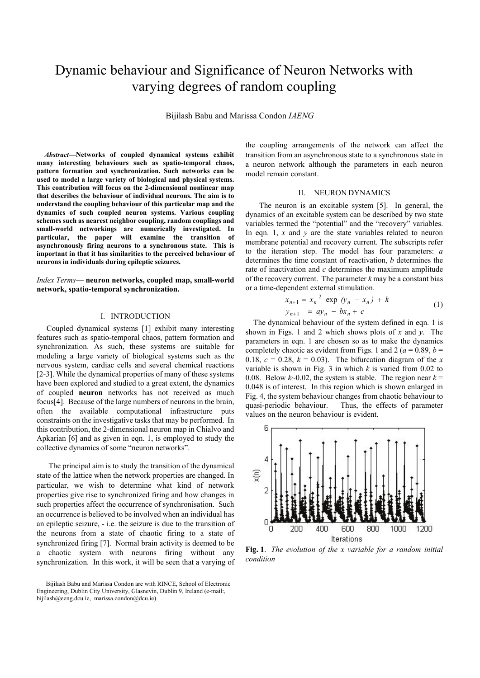# Dynamic behaviour and Significance of Neuron Networks with varying degrees of random coupling

Bijilash Babu and Marissa Condon *IAENG* 

*Abstract***—Networks of coupled dynamical systems exhibit many interesting behaviours such as spatio-temporal chaos, pattern formation and synchronization. Such networks can be used to model a large variety of biological and physical systems. This contribution will focus on the 2-dimensional nonlinear map that describes the behaviour of individual neurons. The aim is to understand the coupling behaviour of this particular map and the dynamics of such coupled neuron systems. Various coupling schemes such as nearest neighbor coupling, random couplings and small-world networkings are numerically investigated. In particular, the paper will examine the transition of asynchronously firing neurons to a synchronous state. This is important in that it has similarities to the perceived behaviour of neurons in individuals during epileptic seizures.** 

*Index Terms*— **neuron networks, coupled map, small-world network, spatio-temporal synchronization.**

### I. INTRODUCTION

 Coupled dynamical systems [1] exhibit many interesting features such as spatio-temporal chaos, pattern formation and synchronization. As such, these systems are suitable for modeling a large variety of biological systems such as the nervous system, cardiac cells and several chemical reactions [2-3]. While the dynamical properties of many of these systems have been explored and studied to a great extent, the dynamics of coupled **neuron** networks has not received as much focus[4]. Because of the large numbers of neurons in the brain, often the available computational infrastructure puts constraints on the investigative tasks that may be performed. In this contribution, the 2-dimensional neuron map in Chialvo and Apkarian [6] and as given in eqn. 1, is employed to study the collective dynamics of some "neuron networks".

 The principal aim is to study the transition of the dynamical state of the lattice when the network properties are changed. In particular, we wish to determine what kind of network properties give rise to synchronized firing and how changes in such properties affect the occurrence of synchronisation. Such an occurrence is believed to be involved when an individual has an epileptic seizure, - i.e. the seizure is due to the transition of the neurons from a state of chaotic firing to a state of synchronized firing [7]. Normal brain activity is deemed to be a chaotic system with neurons firing without any synchronization. In this work, it will be seen that a varying of

the coupling arrangements of the network can affect the transition from an asynchronous state to a synchronous state in a neuron network although the parameters in each neuron model remain constant.

# II. NEURON DYNAMICS

 The neuron is an excitable system [5]. In general, the dynamics of an excitable system can be described by two state variables termed the "potential" and the "recovery" variables. In eqn. 1,  $x$  and  $y$  are the state variables related to neuron membrane potential and recovery current. The subscripts refer to the iteration step. The model has four parameters: *a* determines the time constant of reactivation, *b* determines the rate of inactivation and *c* determines the maximum amplitude of the recovery current. The parameter *k* may be a constant bias or a time-dependent external stimulation.

$$
x_{n+1} = x_n^2 \exp(y_n - x_n) + k
$$
  
\n
$$
y_{n+1} = ay_n - bx_n + c
$$
 (1)

The dynamical behaviour of the system defined in eqn. 1 is shown in Figs. 1 and 2 which shows plots of *x* and *y*. The parameters in eqn. 1 are chosen so as to make the dynamics completely chaotic as evident from Figs. 1 and 2 ( $a = 0.89$ ,  $b =$ 0.18,  $c = 0.28$ ,  $k = 0.03$ ). The bifurcation diagram of the *x* variable is shown in Fig. 3 in which *k* is varied from 0.02 to 0.08. Below  $k \sim 0.02$ , the system is stable. The region near  $k =$ 0.048 is of interest. In this region which is shown enlarged in Fig. 4, the system behaviour changes from chaotic behaviour to quasi-periodic behaviour. Thus, the effects of parameter values on the neuron behaviour is evident.



**Fig. 1**. *The evolution of the x variable for a random initial condition*

Bijilash Babu and Marissa Condon are with RINCE, School of Electronic Engineering, Dublin City University, Glasnevin, Dublin 9, Ireland (e-mail:, bijilash@eeng.dcu.ie, marissa.condon@dcu.ie).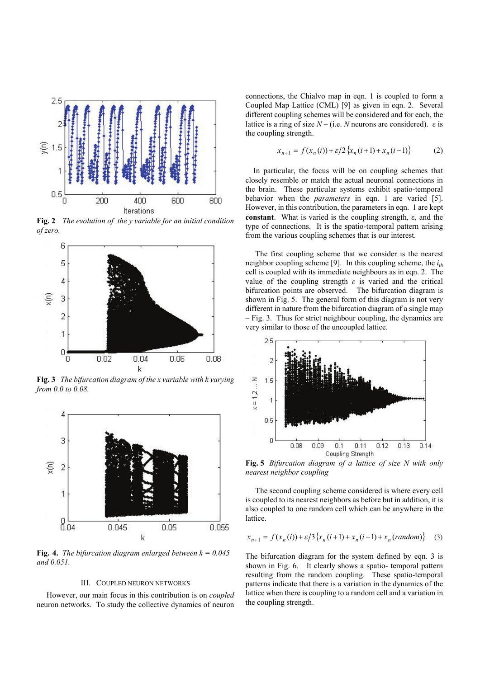

**Fig. 2** *The evolution of the y variable for an initial condition of zero.* 



**Fig. 3** *The bifurcation diagram of the x variable with k varying from 0.0 to 0.08.*



**Fig. 4.** *The bifurcation diagram enlarged between*  $k = 0.045$ *and 0.051.* 

#### III. COUPLED NEURON NETWORKS

 However, our main focus in this contribution is on *coupled* neuron networks. To study the collective dynamics of neuron connections, the Chialvo map in eqn. 1 is coupled to form a Coupled Map Lattice (CML) [9] as given in eqn. 2. Several different coupling schemes will be considered and for each, the lattice is a ring of size  $N - (i.e. N$  neurons are considered).  $\varepsilon$  is the coupling strength.

$$
x_{n+1} = f(x_n(i)) + \varepsilon/2 \{x_n(i+1) + x_n(i-1)\}
$$
 (2)

In particular, the focus will be on coupling schemes that closely resemble or match the actual neuronal connections in the brain. These particular systems exhibit spatio-temporal behavior when the *parameters* in eqn. 1 are varied [5]. However, in this contribution, the parameters in eqn. 1 are kept **constant**. What is varied is the coupling strength,  $\varepsilon$ , and the type of connections. It is the spatio-temporal pattern arising from the various coupling schemes that is our interest.

 The first coupling scheme that we consider is the nearest neighbor coupling scheme [9]. In this coupling scheme, the  $i_{th}$ cell is coupled with its immediate neighbours as in eqn. 2. The value of the coupling strength *ε* is varied and the critical bifurcation points are observed. The bifurcation diagram is shown in Fig. 5. The general form of this diagram is not very different in nature from the bifurcation diagram of a single map – Fig. 3. Thus for strict neighbour coupling, the dynamics are very similar to those of the uncoupled lattice.



**Fig. 5** *Bifurcation diagram of a lattice of size N with only nearest neighbor coupling* 

 The second coupling scheme considered is where every cell is coupled to its nearest neighbors as before but in addition, it is also coupled to one random cell which can be anywhere in the **lattice** 

$$
x_{n+1} = f(x_n(i)) + \varepsilon/3 \{x_n(i+1) + x_n(i-1) + x_n (random)\} \tag{3}
$$

The bifurcation diagram for the system defined by eqn. 3 is shown in Fig. 6. It clearly shows a spatio- temporal pattern resulting from the random coupling. These spatio-temporal patterns indicate that there is a variation in the dynamics of the lattice when there is coupling to a random cell and a variation in the coupling strength.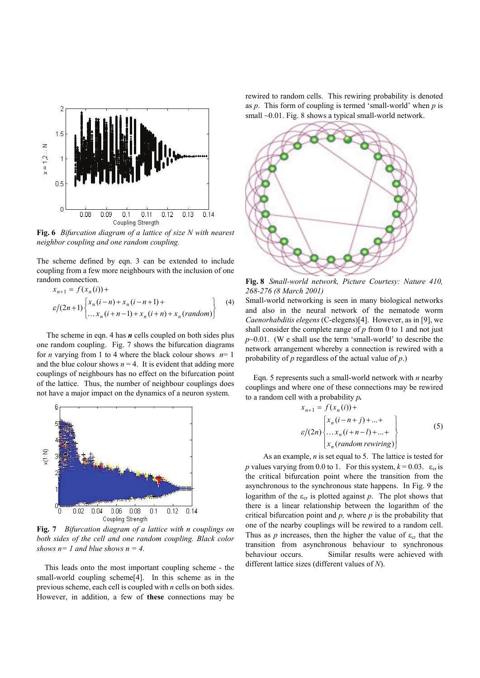

**Fig. 6** *Bifurcation diagram of a lattice of size N with nearest neighbor coupling and one random coupling.* 

The scheme defined by eqn. 3 can be extended to include coupling from a few more neighbours with the inclusion of one random connection.

$$
x_{n+1} = f(x_n(i)) +
$$
  
\n
$$
\varepsilon/(2n+1) \begin{cases} x_n(i-n) + x_n(i-n+1) + \\ \dots x_n(i+n-1) + x_n(i+n) + x_n(random) \end{cases}
$$
 (4)

 The scheme in eqn. 4 has *n* cells coupled on both sides plus one random coupling. Fig. 7 shows the bifurcation diagrams for *n* varying from 1 to 4 where the black colour shows  $n=1$ and the blue colour shows  $n = 4$ . It is evident that adding more couplings of neighbours has no effect on the bifurcation point of the lattice. Thus, the number of neighbour couplings does not have a major impact on the dynamics of a neuron system.



**Fig. 7** *Bifurcation diagram of a lattice with n couplings on*  both sides of the cell and one random coupling. Black color *shows n= 1 and blue shows n = 4.* 

 This leads onto the most important coupling scheme - the small-world coupling scheme<sup>[4]</sup>. In this scheme as in the previous scheme, each cell is coupled with *n* cells on both sides. However, in addition, a few of **these** connections may be rewired to random cells. This rewiring probability is denoted as *p*. This form of coupling is termed 'small-world' when *p* is small ~0.01. Fig. 8 shows a typical small-world network.



**Fig. 8** *Small-world network, Picture Courtesy: Nature 410, 268-276 (8 March 2001)* 

Small-world networking is seen in many biological networks and also in the neural network of the nematode worm *Caenorhabditis elegens* (C-elegens)[4]. However, as in [9], we shall consider the complete range of *p* from 0 to 1 and not just *p*~0.01. (W e shall use the term 'small-world' to describe the network arrangement whereby a connection is rewired with a probability of *p* regardless of the actual value of *p*.)

Eqn. 5 represents such a small-world network with *n* nearby couplings and where one of these connections may be rewired to a random cell with a probability *p.* 

$$
x_{n+1} = f(x_n(i)) +
$$
  
\n
$$
\varepsilon/(2n) \begin{cases} x_n(i-n+j) + ... + \\ ... x_n(i+n-l) + ... + \\ x_n (random\,\,rewining) \end{cases}
$$
 (5)

 As an example, *n* is set equal to 5. The lattice is tested for *p* values varying from 0.0 to 1. For this system,  $k = 0.03$ .  $\varepsilon_{cr}$  is the critical bifurcation point where the transition from the asynchronous to the synchronous state happens. In Fig. 9 the logarithm of the  $\varepsilon_{cr}$  is plotted against *p*. The plot shows that there is a linear relationship between the logarithm of the critical bifurcation point and *p,* where *p* is the probability that one of the nearby couplings will be rewired to a random cell. Thus as *p* increases, then the higher the value of  $\varepsilon_{cr}$  that the transition from asynchronous behaviour to synchronous behaviour occurs. Similar results were achieved with different lattice sizes (different values of *N*).